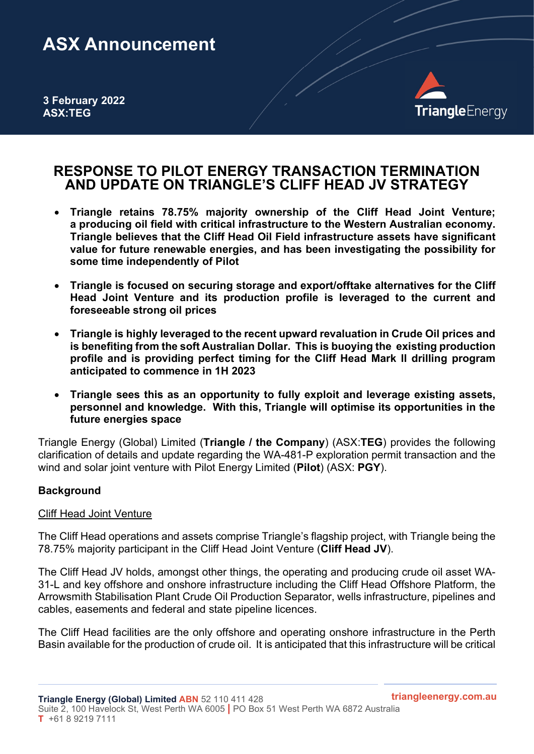# ASX Announcement

3 February 2022 ASX:TEG



# RESPONSE TO PILOT ENERGY TRANSACTION TERMINATION AND UPDATE ON TRIANGLE'S CLIFF HEAD JV STRATEGY

- Triangle retains 78.75% majority ownership of the Cliff Head Joint Venture; a producing oil field with critical infrastructure to the Western Australian economy. Triangle believes that the Cliff Head Oil Field infrastructure assets have significant value for future renewable energies, and has been investigating the possibility for some time independently of Pilot
- Triangle is focused on securing storage and export/offtake alternatives for the Cliff Head Joint Venture and its production profile is leveraged to the current and foreseeable strong oil prices
- Triangle is highly leveraged to the recent upward revaluation in Crude Oil prices and is benefiting from the soft Australian Dollar. This is buoying the existing production profile and is providing perfect timing for the Cliff Head Mark II drilling program anticipated to commence in 1H 2023
- Triangle sees this as an opportunity to fully exploit and leverage existing assets, personnel and knowledge. With this, Triangle will optimise its opportunities in the future energies space

Triangle Energy (Global) Limited (Triangle / the Company) (ASX:TEG) provides the following clarification of details and update regarding the WA-481-P exploration permit transaction and the wind and solar joint venture with Pilot Energy Limited (Pilot) (ASX: PGY).

### **Background**

### Cliff Head Joint Venture

The Cliff Head operations and assets comprise Triangle's flagship project, with Triangle being the 78.75% majority participant in the Cliff Head Joint Venture (Cliff Head JV).

The Cliff Head JV holds, amongst other things, the operating and producing crude oil asset WA-31-L and key offshore and onshore infrastructure including the Cliff Head Offshore Platform, the Arrowsmith Stabilisation Plant Crude Oil Production Separator, wells infrastructure, pipelines and cables, easements and federal and state pipeline licences.

The Cliff Head facilities are the only offshore and operating onshore infrastructure in the Perth Basin available for the production of crude oil. It is anticipated that this infrastructure will be critical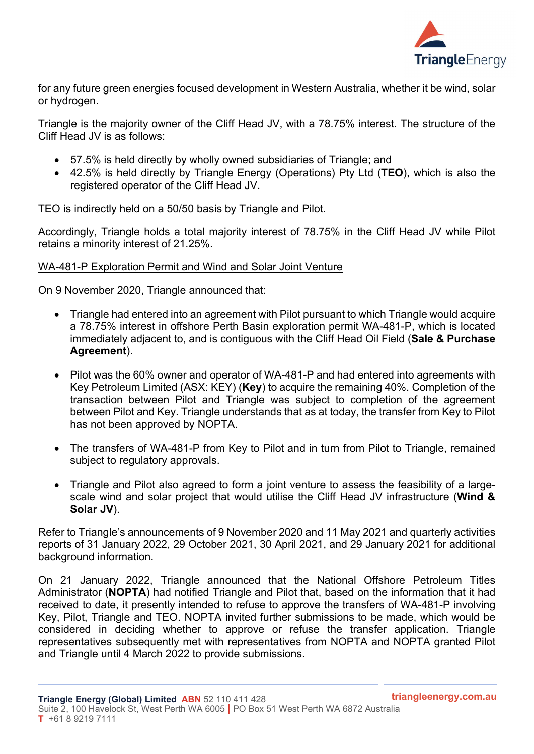

for any future green energies focused development in Western Australia, whether it be wind, solar or hydrogen.

Triangle is the majority owner of the Cliff Head JV, with a 78.75% interest. The structure of the Cliff Head JV is as follows:

- 57.5% is held directly by wholly owned subsidiaries of Triangle; and
- 42.5% is held directly by Triangle Energy (Operations) Pty Ltd (TEO), which is also the registered operator of the Cliff Head JV.

TEO is indirectly held on a 50/50 basis by Triangle and Pilot.

Accordingly, Triangle holds a total majority interest of 78.75% in the Cliff Head JV while Pilot retains a minority interest of 21.25%.

#### WA-481-P Exploration Permit and Wind and Solar Joint Venture

On 9 November 2020, Triangle announced that:

- Triangle had entered into an agreement with Pilot pursuant to which Triangle would acquire a 78.75% interest in offshore Perth Basin exploration permit WA-481-P, which is located immediately adjacent to, and is contiguous with the Cliff Head Oil Field (Sale & Purchase Agreement).
- Pilot was the 60% owner and operator of WA-481-P and had entered into agreements with Key Petroleum Limited (ASX: KEY) (Key) to acquire the remaining 40%. Completion of the transaction between Pilot and Triangle was subject to completion of the agreement between Pilot and Key. Triangle understands that as at today, the transfer from Key to Pilot has not been approved by NOPTA.
- The transfers of WA-481-P from Key to Pilot and in turn from Pilot to Triangle, remained subject to regulatory approvals.
- Triangle and Pilot also agreed to form a joint venture to assess the feasibility of a largescale wind and solar project that would utilise the Cliff Head JV infrastructure (Wind & Solar JV).

Refer to Triangle's announcements of 9 November 2020 and 11 May 2021 and quarterly activities reports of 31 January 2022, 29 October 2021, 30 April 2021, and 29 January 2021 for additional background information.

On 21 January 2022, Triangle announced that the National Offshore Petroleum Titles Administrator (NOPTA) had notified Triangle and Pilot that, based on the information that it had received to date, it presently intended to refuse to approve the transfers of WA-481-P involving Key, Pilot, Triangle and TEO. NOPTA invited further submissions to be made, which would be considered in deciding whether to approve or refuse the transfer application. Triangle representatives subsequently met with representatives from NOPTA and NOPTA granted Pilot and Triangle until 4 March 2022 to provide submissions.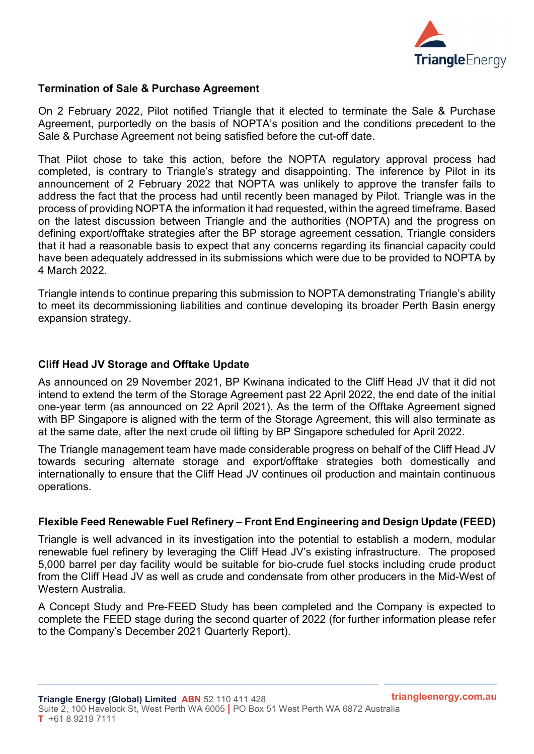

### Termination of Sale & Purchase Agreement

On 2 February 2022, Pilot notified Triangle that it elected to terminate the Sale & Purchase Agreement, purportedly on the basis of NOPTA's position and the conditions precedent to the Sale & Purchase Agreement not being satisfied before the cut-off date.

That Pilot chose to take this action, before the NOPTA regulatory approval process had completed, is contrary to Triangle's strategy and disappointing. The inference by Pilot in its announcement of 2 February 2022 that NOPTA was unlikely to approve the transfer fails to address the fact that the process had until recently been managed by Pilot. Triangle was in the process of providing NOPTA the information it had requested, within the agreed timeframe. Based on the latest discussion between Triangle and the authorities (NOPTA) and the progress on defining export/offtake strategies after the BP storage agreement cessation, Triangle considers that it had a reasonable basis to expect that any concerns regarding its financial capacity could have been adequately addressed in its submissions which were due to be provided to NOPTA by 4 March 2022.

Triangle intends to continue preparing this submission to NOPTA demonstrating Triangle's ability to meet its decommissioning liabilities and continue developing its broader Perth Basin energy expansion strategy.

## Cliff Head JV Storage and Offtake Update

As announced on 29 November 2021, BP Kwinana indicated to the Cliff Head JV that it did not intend to extend the term of the Storage Agreement past 22 April 2022, the end date of the initial one-year term (as announced on 22 April 2021). As the term of the Offtake Agreement signed with BP Singapore is aligned with the term of the Storage Agreement, this will also terminate as at the same date, after the next crude oil lifting by BP Singapore scheduled for April 2022.

The Triangle management team have made considerable progress on behalf of the Cliff Head JV towards securing alternate storage and export/offtake strategies both domestically and internationally to ensure that the Cliff Head JV continues oil production and maintain continuous operations.

### Flexible Feed Renewable Fuel Refinery – Front End Engineering and Design Update (FEED)

Triangle is well advanced in its investigation into the potential to establish a modern, modular renewable fuel refinery by leveraging the Cliff Head JV's existing infrastructure. The proposed 5,000 barrel per day facility would be suitable for bio-crude fuel stocks including crude product from the Cliff Head JV as well as crude and condensate from other producers in the Mid-West of Western Australia.

A Concept Study and Pre-FEED Study has been completed and the Company is expected to complete the FEED stage during the second quarter of 2022 (for further information please refer to the Company's December 2021 Quarterly Report).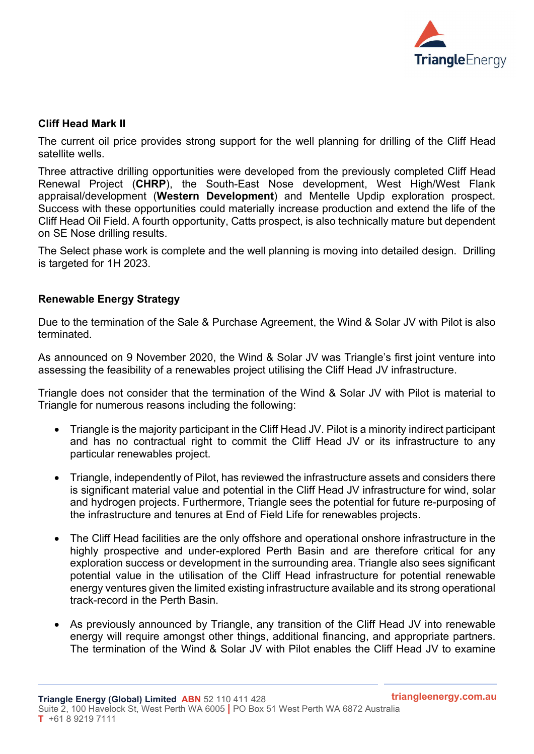

#### Cliff Head Mark II

The current oil price provides strong support for the well planning for drilling of the Cliff Head satellite wells.

Three attractive drilling opportunities were developed from the previously completed Cliff Head Renewal Project (CHRP), the South-East Nose development, West High/West Flank appraisal/development (Western Development) and Mentelle Updip exploration prospect. Success with these opportunities could materially increase production and extend the life of the Cliff Head Oil Field. A fourth opportunity, Catts prospect, is also technically mature but dependent on SE Nose drilling results.

The Select phase work is complete and the well planning is moving into detailed design. Drilling is targeted for 1H 2023.

### Renewable Energy Strategy

Due to the termination of the Sale & Purchase Agreement, the Wind & Solar JV with Pilot is also terminated.

As announced on 9 November 2020, the Wind & Solar JV was Triangle's first joint venture into assessing the feasibility of a renewables project utilising the Cliff Head JV infrastructure.

Triangle does not consider that the termination of the Wind & Solar JV with Pilot is material to Triangle for numerous reasons including the following:

- Triangle is the majority participant in the Cliff Head JV. Pilot is a minority indirect participant and has no contractual right to commit the Cliff Head JV or its infrastructure to any particular renewables project.
- Triangle, independently of Pilot, has reviewed the infrastructure assets and considers there is significant material value and potential in the Cliff Head JV infrastructure for wind, solar and hydrogen projects. Furthermore, Triangle sees the potential for future re-purposing of the infrastructure and tenures at End of Field Life for renewables projects.
- The Cliff Head facilities are the only offshore and operational onshore infrastructure in the highly prospective and under-explored Perth Basin and are therefore critical for any exploration success or development in the surrounding area. Triangle also sees significant potential value in the utilisation of the Cliff Head infrastructure for potential renewable energy ventures given the limited existing infrastructure available and its strong operational track-record in the Perth Basin.
- As previously announced by Triangle, any transition of the Cliff Head JV into renewable energy will require amongst other things, additional financing, and appropriate partners. The termination of the Wind & Solar JV with Pilot enables the Cliff Head JV to examine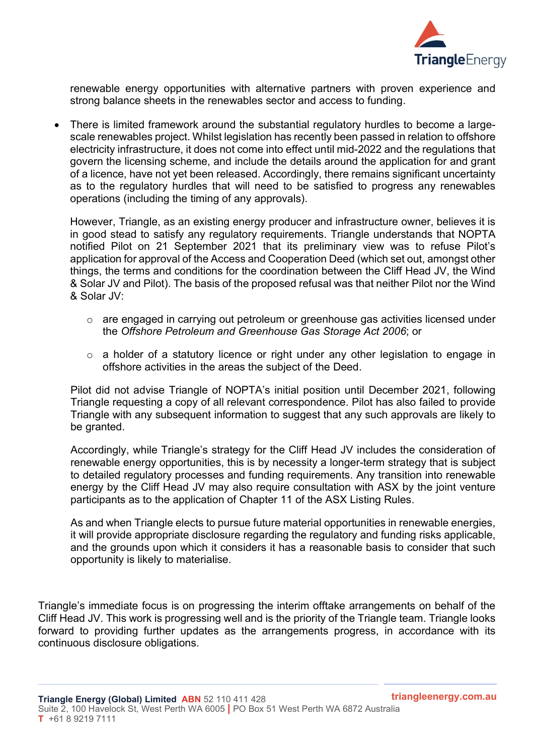

renewable energy opportunities with alternative partners with proven experience and strong balance sheets in the renewables sector and access to funding.

 There is limited framework around the substantial regulatory hurdles to become a largescale renewables project. Whilst legislation has recently been passed in relation to offshore electricity infrastructure, it does not come into effect until mid-2022 and the regulations that govern the licensing scheme, and include the details around the application for and grant of a licence, have not yet been released. Accordingly, there remains significant uncertainty as to the regulatory hurdles that will need to be satisfied to progress any renewables operations (including the timing of any approvals).

However, Triangle, as an existing energy producer and infrastructure owner, believes it is in good stead to satisfy any regulatory requirements. Triangle understands that NOPTA notified Pilot on 21 September 2021 that its preliminary view was to refuse Pilot's application for approval of the Access and Cooperation Deed (which set out, amongst other things, the terms and conditions for the coordination between the Cliff Head JV, the Wind & Solar JV and Pilot). The basis of the proposed refusal was that neither Pilot nor the Wind & Solar JV:

- o are engaged in carrying out petroleum or greenhouse gas activities licensed under the Offshore Petroleum and Greenhouse Gas Storage Act 2006; or
- o a holder of a statutory licence or right under any other legislation to engage in offshore activities in the areas the subject of the Deed.

Pilot did not advise Triangle of NOPTA's initial position until December 2021, following Triangle requesting a copy of all relevant correspondence. Pilot has also failed to provide Triangle with any subsequent information to suggest that any such approvals are likely to be granted.

Accordingly, while Triangle's strategy for the Cliff Head JV includes the consideration of renewable energy opportunities, this is by necessity a longer-term strategy that is subject to detailed regulatory processes and funding requirements. Any transition into renewable energy by the Cliff Head JV may also require consultation with ASX by the joint venture participants as to the application of Chapter 11 of the ASX Listing Rules.

As and when Triangle elects to pursue future material opportunities in renewable energies, it will provide appropriate disclosure regarding the regulatory and funding risks applicable, and the grounds upon which it considers it has a reasonable basis to consider that such opportunity is likely to materialise.

Triangle's immediate focus is on progressing the interim offtake arrangements on behalf of the Cliff Head JV. This work is progressing well and is the priority of the Triangle team. Triangle looks forward to providing further updates as the arrangements progress, in accordance with its continuous disclosure obligations.